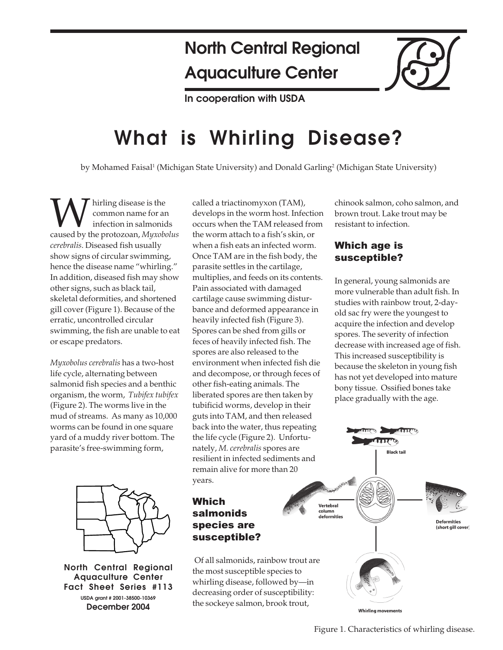## **North Central Regional Aquaculture Center**

**In cooperation with USDA**

# **What is Whirling Disease?**

by Mohamed Faisal<sup>1</sup> (Michigan State University) and Donald Garling<sup>2</sup> (Michigan State University)

Whirling disease is the<br>
common name for an<br>
caused by the protozoan, *Myxobolus* common name for an infection in salmonids *cerebralis*. Diseased fish usually show signs of circular swimming, hence the disease name "whirling." In addition, diseased fish may show other signs, such as black tail, skeletal deformities, and shortened gill cover (Figure 1). Because of the erratic, uncontrolled circular swimming, the fish are unable to eat or escape predators.

*Myxobolus cerebralis* has a two-host life cycle, alternating between salmonid fish species and a benthic organism, the worm, *Tubifex tubifex* (Figure 2). The worms live in the mud of streams. As many as 10,000 worms can be found in one square yard of a muddy river bottom. The parasite's free-swimming form,



**North Central Regional Aquaculture Center Fact Sheet Series #113 USDA grant # 2001-38500-10369 December 2004**

called a triactinomyxon (TAM), develops in the worm host. Infection occurs when the TAM released from the worm attach to a fish's skin, or when a fish eats an infected worm. Once TAM are in the fish body, the parasite settles in the cartilage, multiplies, and feeds on its contents. Pain associated with damaged cartilage cause swimming disturbance and deformed appearance in heavily infected fish (Figure 3). Spores can be shed from gills or feces of heavily infected fish. The spores are also released to the environment when infected fish die and decompose, or through feces of other fish-eating animals. The liberated spores are then taken by tubificid worms, develop in their guts into TAM, and then released back into the water, thus repeating the life cycle (Figure 2). Unfortunately, *M. cerebralis* spores are resilient in infected sediments and remain alive for more than 20 years.

## Which salmonids species are susceptible?

Of all salmonids, rainbow trout are the most susceptible species to whirling disease, followed by—in decreasing order of susceptibility: the sockeye salmon, brook trout,

chinook salmon, coho salmon, and brown trout. Lake trout may be resistant to infection.

### Which age is susceptible?

In general, young salmonids are more vulnerable than adult fish. In studies with rainbow trout, 2-dayold sac fry were the youngest to acquire the infection and develop spores. The severity of infection decrease with increased age of fish. This increased susceptibility is because the skeleton in young fish has not yet developed into mature bony tissue. Ossified bones take place gradually with the age.

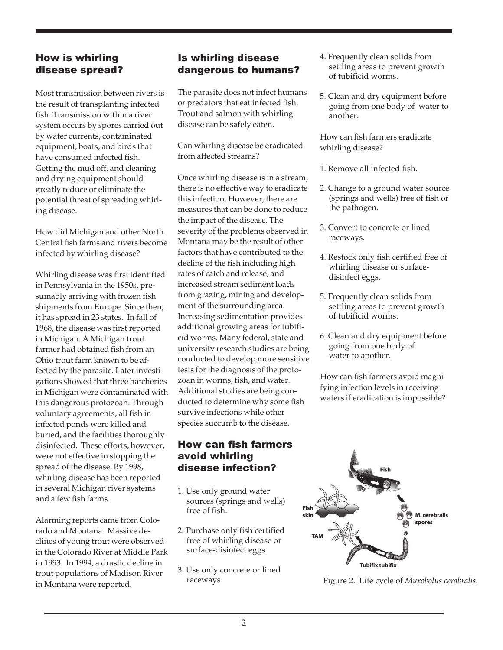#### How is whirling disease spread?

Most transmission between rivers is the result of transplanting infected fish. Transmission within a river system occurs by spores carried out by water currents, contaminated equipment, boats, and birds that have consumed infected fish. Getting the mud off, and cleaning and drying equipment should greatly reduce or eliminate the potential threat of spreading whirling disease.

How did Michigan and other North Central fish farms and rivers become infected by whirling disease?

Whirling disease was first identified in Pennsylvania in the 1950s, presumably arriving with frozen fish shipments from Europe. Since then, it has spread in 23 states. In fall of 1968, the disease was first reported in Michigan. A Michigan trout farmer had obtained fish from an Ohio trout farm known to be affected by the parasite. Later investigations showed that three hatcheries in Michigan were contaminated with this dangerous protozoan. Through voluntary agreements, all fish in infected ponds were killed and buried, and the facilities thoroughly disinfected. These efforts, however, were not effective in stopping the spread of the disease. By 1998, whirling disease has been reported in several Michigan river systems and a few fish farms.

Alarming reports came from Colorado and Montana. Massive declines of young trout were observed in the Colorado River at Middle Park in 1993. In 1994, a drastic decline in trout populations of Madison River in Montana were reported.

#### Is whirling disease dangerous to humans?

The parasite does not infect humans or predators that eat infected fish. Trout and salmon with whirling disease can be safely eaten.

Can whirling disease be eradicated from affected streams?

Once whirling disease is in a stream, there is no effective way to eradicate this infection. However, there are measures that can be done to reduce the impact of the disease. The severity of the problems observed in Montana may be the result of other factors that have contributed to the decline of the fish including high rates of catch and release, and increased stream sediment loads from grazing, mining and development of the surrounding area. Increasing sedimentation provides additional growing areas for tubificid worms. Many federal, state and university research studies are being conducted to develop more sensitive tests for the diagnosis of the protozoan in worms, fish, and water. Additional studies are being conducted to determine why some fish survive infections while other species succumb to the disease.

#### How can fish farmers avoid whirling disease infection?

- 1. Use only ground water sources (springs and wells) free of fish.
- 2. Purchase only fish certified free of whirling disease or surface-disinfect eggs.
- 3. Use only concrete or lined raceways.
- 4. Frequently clean solids from settling areas to prevent growth of tubificid worms.
- 5. Clean and dry equipment before going from one body of water to another.

How can fish farmers eradicate whirling disease?

1. Remove all infected fish.

- 2. Change to a ground water source (springs and wells) free of fish or the pathogen.
- 3. Convert to concrete or lined raceways.
- 4. Restock only fish certified free of whirling disease or surfacedisinfect eggs.
- 5. Frequently clean solids from settling areas to prevent growth of tubificid worms.
- 6. Clean and dry equipment before going from one body of water to another.

How can fish farmers avoid magnifying infection levels in receiving waters if eradication is impossible?



Figure 2. Life cycle of *Myxobolus cerabralis*.